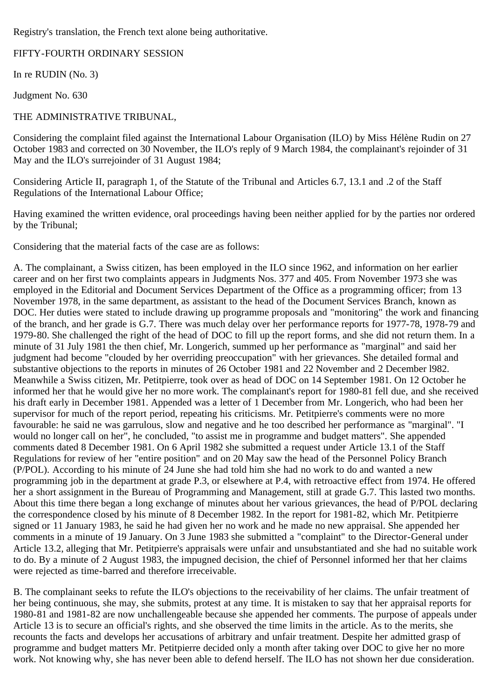Registry's translation, the French text alone being authoritative.

## FIFTY-FOURTH ORDINARY SESSION

In re RUDIN (No. 3)

Judgment No. 630

## THE ADMINISTRATIVE TRIBUNAL,

Considering the complaint filed against the International Labour Organisation (ILO) by Miss Hélène Rudin on 27 October 1983 and corrected on 30 November, the ILO's reply of 9 March 1984, the complainant's rejoinder of 31 May and the ILO's surrejoinder of 31 August 1984;

Considering Article II, paragraph 1, of the Statute of the Tribunal and Articles 6.7, 13.1 and .2 of the Staff Regulations of the International Labour Office;

Having examined the written evidence, oral proceedings having been neither applied for by the parties nor ordered by the Tribunal;

Considering that the material facts of the case are as follows:

A. The complainant, a Swiss citizen, has been employed in the ILO since 1962, and information on her earlier career and on her first two complaints appears in Judgments Nos. 377 and 405. From November 1973 she was employed in the Editorial and Document Services Department of the Office as a programming officer; from 13 November 1978, in the same department, as assistant to the head of the Document Services Branch, known as DOC. Her duties were stated to include drawing up programme proposals and "monitoring" the work and financing of the branch, and her grade is G.7. There was much delay over her performance reports for 1977-78, 1978-79 and 1979-80. She challenged the right of the head of DOC to fill up the report forms, and she did not return them. In a minute of 31 July 1981 the then chief, Mr. Longerich, summed up her performance as "marginal" and said her judgment had become "clouded by her overriding preoccupation" with her grievances. She detailed formal and substantive objections to the reports in minutes of 26 October 1981 and 22 November and 2 December 1982. Meanwhile a Swiss citizen, Mr. Petitpierre, took over as head of DOC on 14 September 1981. On 12 October he informed her that he would give her no more work. The complainant's report for 1980-81 fell due, and she received his draft early in December 1981. Appended was a letter of 1 December from Mr. Longerich, who had been her supervisor for much of the report period, repeating his criticisms. Mr. Petitpierre's comments were no more favourable: he said ne was garrulous, slow and negative and he too described her performance as "marginal". "I would no longer call on her", he concluded, "to assist me in programme and budget matters". She appended comments dated 8 December 1981. On 6 April 1982 she submitted a request under Article 13.1 of the Staff Regulations for review of her "entire position" and on 20 May saw the head of the Personnel Policy Branch (P/POL). According to his minute of 24 June she had told him she had no work to do and wanted a new programming job in the department at grade P.3, or elsewhere at P.4, with retroactive effect from 1974. He offered her a short assignment in the Bureau of Programming and Management, still at grade G.7. This lasted two months. About this time there began a long exchange of minutes about her various grievances, the head of P/POL declaring the correspondence closed by his minute of 8 December 1982. In the report for 1981-82, which Mr. Petitpierre signed or 11 January 1983, he said he had given her no work and he made no new appraisal. She appended her comments in a minute of 19 January. On 3 June 1983 she submitted a "complaint" to the Director-General under Article 13.2, alleging that Mr. Petitpierre's appraisals were unfair and unsubstantiated and she had no suitable work to do. By a minute of 2 August 1983, the impugned decision, the chief of Personnel informed her that her claims were rejected as time-barred and therefore irreceivable.

B. The complainant seeks to refute the ILO's objections to the receivability of her claims. The unfair treatment of her being continuous, she may, she submits, protest at any time. It is mistaken to say that her appraisal reports for 1980-81 and 1981-82 are now unchallengeable because she appended her comments. The purpose of appeals under Article 13 is to secure an official's rights, and she observed the time limits in the article. As to the merits, she recounts the facts and develops her accusations of arbitrary and unfair treatment. Despite her admitted grasp of programme and budget matters Mr. Petitpierre decided only a month after taking over DOC to give her no more work. Not knowing why, she has never been able to defend herself. The ILO has not shown her due consideration.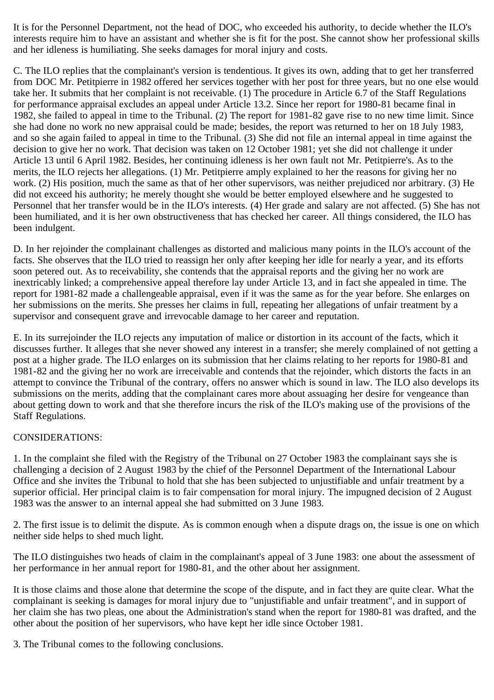It is for the Personnel Department, not the head of DOC, who exceeded his authority, to decide whether the ILO's interests require him to have an assistant and whether she is fit for the post. She cannot show her professional skills and her idleness is humiliating. She seeks damages for moral injury and costs.

C. The ILO replies that the complainant's version is tendentious. It gives its own, adding that to get her transferred from DOC Mr. Petitpierre in 1982 offered her services together with her post for three years, but no one else would take her. It submits that her complaint is not receivable. (1) The procedure in Article 6.7 of the Staff Regulations for performance appraisal excludes an appeal under Article 13.2. Since her report for 1980-81 became final in 1982, she failed to appeal in time to the Tribunal. (2) The report for 1981-82 gave rise to no new time limit. Since she had done no work no new appraisal could be made; besides, the report was returned to her on 18 July 1983, and so she again failed to appeal in time to the Tribunal. (3) She did not file an internal appeal in time against the decision to give her no work. That decision was taken on 12 October 1981; yet she did not challenge it under Article 13 until 6 April 1982. Besides, her continuing idleness is her own fault not Mr. Petitpierre's. As to the merits, the ILO rejects her allegations. (1) Mr. Petitpierre amply explained to her the reasons for giving her no work. (2) His position, much the same as that of her other supervisors, was neither prejudiced nor arbitrary. (3) He did not exceed his authority; he merely thought she would be better employed elsewhere and he suggested to Personnel that her transfer would be in the ILO's interests. (4) Her grade and salary are not affected. (5) She has not been humiliated, and it is her own obstructiveness that has checked her career. All things considered, the ILO has been indulgent.

D. In her rejoinder the complainant challenges as distorted and malicious many points in the ILO's account of the facts. She observes that the ILO tried to reassign her only after keeping her idle for nearly a year, and its efforts soon petered out. As to receivability, she contends that the appraisal reports and the giving her no work are inextricably linked; a comprehensive appeal therefore lay under Article 13, and in fact she appealed in time. The report for 1981-82 made a challengeable appraisal, even if it was the same as for the year before. She enlarges on her submissions on the merits. She presses her claims in full, repeating her allegations of unfair treatment by a supervisor and consequent grave and irrevocable damage to her career and reputation.

E. In its surrejoinder the ILO rejects any imputation of malice or distortion in its account of the facts, which it discusses further. It alleges that she never showed any interest in a transfer; she merely complained of not getting a post at a higher grade. The ILO enlarges on its submission that her claims relating to her reports for 1980-81 and 1981-82 and the giving her no work are irreceivable and contends that the rejoinder, which distorts the facts in an attempt to convince the Tribunal of the contrary, offers no answer which is sound in law. The ILO also develops its submissions on the merits, adding that the complainant cares more about assuaging her desire for vengeance than about getting down to work and that she therefore incurs the risk of the ILO's making use of the provisions of the Staff Regulations.

## CONSIDERATIONS:

1. In the complaint she filed with the Registry of the Tribunal on 27 October 1983 the complainant says she is challenging a decision of 2 August 1983 by the chief of the Personnel Department of the International Labour Office and she invites the Tribunal to hold that she has been subjected to unjustifiable and unfair treatment by a superior official. Her principal claim is to fair compensation for moral injury. The impugned decision of 2 August 1983 was the answer to an internal appeal she had submitted on 3 June 1983.

2. The first issue is to delimit the dispute. As is common enough when a dispute drags on, the issue is one on which neither side helps to shed much light.

The ILO distinguishes two heads of claim in the complainant's appeal of 3 June 1983: one about the assessment of her performance in her annual report for 1980-81, and the other about her assignment.

It is those claims and those alone that determine the scope of the dispute, and in fact they are quite clear. What the complainant is seeking is damages for moral injury due to "unjustifiable and unfair treatment", and in support of her claim she has two pleas, one about the Administration's stand when the report for 1980-81 was drafted, and the other about the position of her supervisors, who have kept her idle since October 1981.

3. The Tribunal comes to the following conclusions.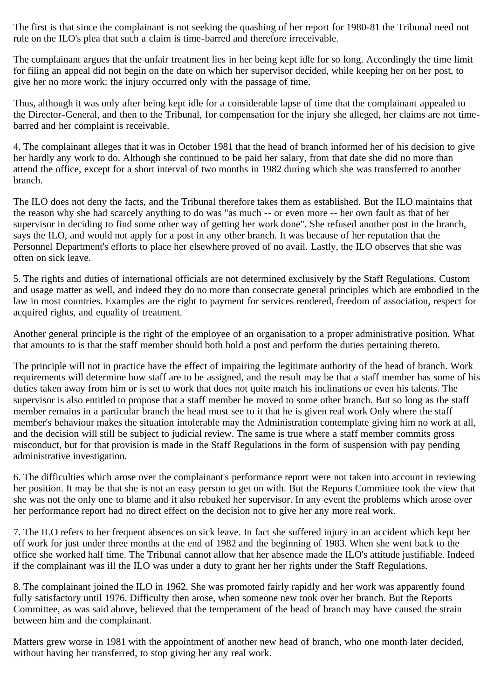The first is that since the complainant is not seeking the quashing of her report for 1980-81 the Tribunal need not rule on the ILO's plea that such a claim is time-barred and therefore irreceivable.

The complainant argues that the unfair treatment lies in her being kept idle for so long. Accordingly the time limit for filing an appeal did not begin on the date on which her supervisor decided, while keeping her on her post, to give her no more work: the injury occurred only with the passage of time.

Thus, although it was only after being kept idle for a considerable lapse of time that the complainant appealed to the Director-General, and then to the Tribunal, for compensation for the injury she alleged, her claims are not timebarred and her complaint is receivable.

4. The complainant alleges that it was in October 1981 that the head of branch informed her of his decision to give her hardly any work to do. Although she continued to be paid her salary, from that date she did no more than attend the office, except for a short interval of two months in 1982 during which she was transferred to another branch.

The ILO does not deny the facts, and the Tribunal therefore takes them as established. But the ILO maintains that the reason why she had scarcely anything to do was "as much -- or even more -- her own fault as that of her supervisor in deciding to find some other way of getting her work done". She refused another post in the branch, says the ILO, and would not apply for a post in any other branch. It was because of her reputation that the Personnel Department's efforts to place her elsewhere proved of no avail. Lastly, the ILO observes that she was often on sick leave.

5. The rights and duties of international officials are not determined exclusively by the Staff Regulations. Custom and usage matter as well, and indeed they do no more than consecrate general principles which are embodied in the law in most countries. Examples are the right to payment for services rendered, freedom of association, respect for acquired rights, and equality of treatment.

Another general principle is the right of the employee of an organisation to a proper administrative position. What that amounts to is that the staff member should both hold a post and perform the duties pertaining thereto.

The principle will not in practice have the effect of impairing the legitimate authority of the head of branch. Work requirements will determine how staff are to be assigned, and the result may be that a staff member has some of his duties taken away from him or is set to work that does not quite match his inclinations or even his talents. The supervisor is also entitled to propose that a staff member be moved to some other branch. But so long as the staff member remains in a particular branch the head must see to it that he is given real work Only where the staff member's behaviour makes the situation intolerable may the Administration contemplate giving him no work at all, and the decision will still be subject to judicial review. The same is true where a staff member commits gross misconduct, but for that provision is made in the Staff Regulations in the form of suspension with pay pending administrative investigation.

6. The difficulties which arose over the complainant's performance report were not taken into account in reviewing her position. It may be that she is not an easy person to get on with. But the Reports Committee took the view that she was not the only one to blame and it also rebuked her supervisor. In any event the problems which arose over her performance report had no direct effect on the decision not to give her any more real work.

7. The ILO refers to her frequent absences on sick leave. In fact she suffered injury in an accident which kept her off work for just under three months at the end of 1982 and the beginning of 1983. When she went back to the office she worked half time. The Tribunal cannot allow that her absence made the ILO's attitude justifiable. Indeed if the complainant was ill the ILO was under a duty to grant her her rights under the Staff Regulations.

8. The complainant joined the ILO in 1962. She was promoted fairly rapidly and her work was apparently found fully satisfactory until 1976. Difficulty then arose, when someone new took over her branch. But the Reports Committee, as was said above, believed that the temperament of the head of branch may have caused the strain between him and the complainant.

Matters grew worse in 1981 with the appointment of another new head of branch, who one month later decided, without having her transferred, to stop giving her any real work.